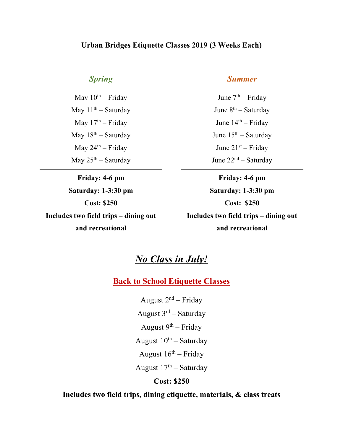## **Urban Bridges Etiquette Classes 2019 (3 Weeks Each)**

## *Spring*

May  $10^{th}$  – Friday May  $11<sup>th</sup> - Saturday$ May  $17<sup>th</sup>$  – Friday May  $18^{th}$  – Saturday May  $24<sup>th</sup> - Friday$ May  $25<sup>th</sup>$  – Saturday

**Friday: 4-6 pm Saturday: 1-3:30 pm Cost: \$250 Includes two field trips – dining out and recreational**

### *Summer*

June  $7<sup>th</sup>$  – Friday June  $8^{th}$  – Saturday June  $14<sup>th</sup>$  – Friday June 15th – Saturday June 21st – Friday June 22nd – Saturday

**Friday: 4-6 pm Saturday: 1-3:30 pm Cost: \$250 Includes two field trips – dining out and recreational**

# *No Class in July!*

**Back to School Etiquette Classes**

August  $2<sup>nd</sup>$  – Friday August  $3^{rd}$  – Saturday August  $9^{th}$  – Friday August  $10^{th}$  – Saturday August  $16<sup>th</sup>$  – Friday August  $17<sup>th</sup>$  – Saturday

### **Cost: \$250**

### **Includes two field trips, dining etiquette, materials, & class treats**